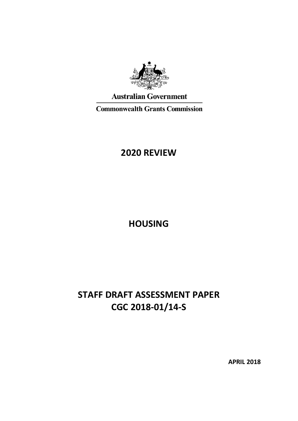

**Australian Government** 

**Commonwealth Grants Commission** 

# **2020 REVIEW**

**HOUSING**

# **STAFF DRAFT ASSESSMENT PAPER CGC 2018-01/14-S**

**APRIL 2018**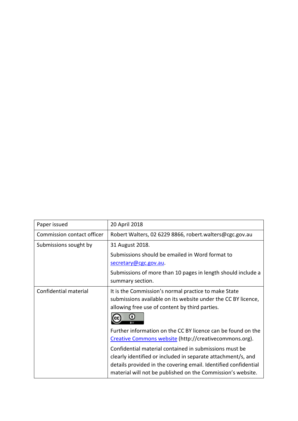| Paper issued               | 20 April 2018                                                                                                                                                                                                                                            |
|----------------------------|----------------------------------------------------------------------------------------------------------------------------------------------------------------------------------------------------------------------------------------------------------|
| Commission contact officer | Robert Walters, 02 6229 8866, robert.walters@cgc.gov.au                                                                                                                                                                                                  |
| Submissions sought by      | 31 August 2018.                                                                                                                                                                                                                                          |
|                            | Submissions should be emailed in Word format to                                                                                                                                                                                                          |
|                            | secretary@cgc.gov.au.                                                                                                                                                                                                                                    |
|                            | Submissions of more than 10 pages in length should include a                                                                                                                                                                                             |
|                            | summary section.                                                                                                                                                                                                                                         |
| Confidential material      | It is the Commission's normal practice to make State<br>submissions available on its website under the CC BY licence,<br>allowing free use of content by third parties.                                                                                  |
|                            |                                                                                                                                                                                                                                                          |
|                            | Further information on the CC BY licence can be found on the<br>Creative Commons website (http://creativecommons.org).                                                                                                                                   |
|                            | Confidential material contained in submissions must be<br>clearly identified or included in separate attachment/s, and<br>details provided in the covering email. Identified confidential<br>material will not be published on the Commission's website. |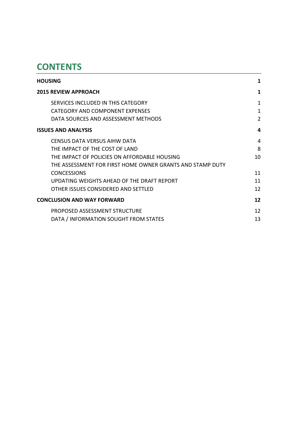# **CONTENTS**

| <b>HOUSING</b>                                            | 1              |
|-----------------------------------------------------------|----------------|
| <b>2015 REVIEW APPROACH</b>                               | 1              |
| SERVICES INCLUDED IN THIS CATEGORY                        | 1              |
| CATEGORY AND COMPONENT EXPENSES                           | 1              |
| DATA SOURCES AND ASSESSMENT METHODS                       | $\overline{2}$ |
| <b>ISSUES AND ANALYSIS</b>                                | 4              |
| CENSUS DATA VERSUS AIHW DATA                              | 4              |
| THE IMPACT OF THE COST OF LAND                            | 8              |
| THE IMPACT OF POLICIES ON AFFORDABLE HOUSING              | 10             |
| THE ASSESSMENT FOR FIRST HOME OWNER GRANTS AND STAMP DUTY |                |
| <b>CONCESSIONS</b>                                        | 11             |
| UPDATING WEIGHTS AHEAD OF THE DRAFT REPORT                | 11             |
| OTHER ISSUES CONSIDERED AND SETTLED                       | 12             |
| <b>CONCLUSION AND WAY FORWARD</b>                         | 12             |
| PROPOSED ASSESSMENT STRUCTURE                             | 12             |
| DATA / INFORMATION SOUGHT FROM STATES                     | 13             |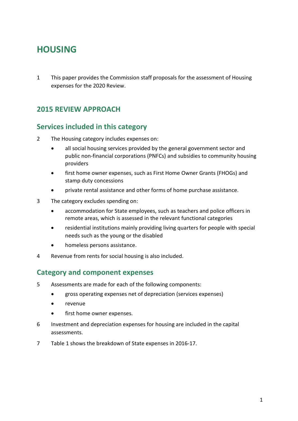# <span id="page-3-0"></span>**HOUSING**

1 This paper provides the Commission staff proposals for the assessment of Housing expenses for the 2020 Review.

# <span id="page-3-1"></span>**2015 REVIEW APPROACH**

# <span id="page-3-2"></span>**Services included in this category**

- 2 The Housing category includes expenses on:
	- all social housing services provided by the general government sector and public non-financial corporations (PNFCs) and subsidies to community housing providers
	- first home owner expenses, such as First Home Owner Grants (FHOGs) and stamp duty concessions
	- private rental assistance and other forms of home purchase assistance.
- 3 The category excludes spending on:
	- accommodation for State employees, such as teachers and police officers in remote areas, which is assessed in the relevant functional categories
	- residential institutions mainly providing living quarters for people with special needs such as the young or the disabled
	- homeless persons assistance.
- 4 Revenue from rents for social housing is also included.

### <span id="page-3-3"></span>**Category and component expenses**

- 5 Assessments are made for each of the following components:
	- gross operating expenses net of depreciation (services expenses)
	- revenue
	- first home owner expenses.
- 6 Investment and depreciation expenses for housing are included in the capital assessments.
- 7 [Table 1](#page-4-1) shows the breakdown of State expenses in 2016-17.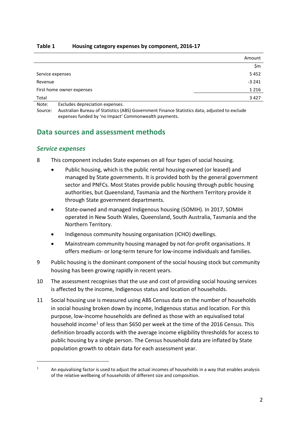<span id="page-4-1"></span>

| Table 1 | Housing category expenses by component, 2016-17 |
|---------|-------------------------------------------------|
|---------|-------------------------------------------------|

|                           | Amount  |
|---------------------------|---------|
|                           | \$m     |
| Service expenses          | 5452    |
| Revenue                   | $-3241$ |
| First home owner expenses | 1 2 1 6 |
| Total                     | 3 4 2 7 |
| _                         |         |

Note: Excludes depreciation expenses.

Source: Australian Bureau of Statistics (ABS) Government Finance Statistics data, adjusted to exclude expenses funded by 'no Impact' Commonwealth payments.

## <span id="page-4-0"></span>**Data sources and assessment methods**

### *Service expenses*

- 8 This component includes State expenses on all four types of social housing.
	- Public housing, which is the public rental housing owned (or leased) and managed by State governments. It is provided both by the general government sector and PNFCs. Most States provide public housing through public housing authorities, but Queensland, Tasmania and the Northern Territory provide it through State government departments.
	- State-owned and managed Indigenous housing (SOMIH). In 2017, SOMIH operated in New South Wales, Queensland, South Australia, Tasmania and the Northern Territory.
	- Indigenous community housing organisation (ICHO) dwellings.
	- Mainstream community housing managed by not-for-profit organisations. It offers medium- or long-term tenure for low-income individuals and families.
- 9 Public housing is the dominant component of the social housing stock but community housing has been growing rapidly in recent years.
- 10 The assessment recognises that the use and cost of providing social housing services is affected by the income, Indigenous status and location of households.
- 11 Social housing use is measured using ABS Census data on the number of households in social housing broken down by income, Indigenous status and location. For this purpose, low-income households are defined as those with an equivalised total household income<sup>[1](#page-4-2)</sup> of less than \$650 per week at the time of the 2016 Census. This definition broadly accords with the average income eligibility thresholds for access to public housing by a single person. The Census household data are inflated by State population growth to obtain data for each assessment year.

<span id="page-4-2"></span><sup>&</sup>lt;sup>1</sup> An equivalising factor is used to adjust the actual incomes of households in a way that enables analysis of the relative wellbeing of households of different size and composition.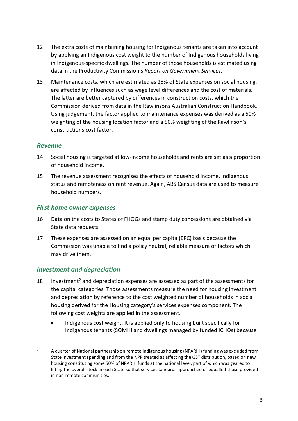- 12 The extra costs of maintaining housing for Indigenous tenants are taken into account by applying an Indigenous cost weight to the number of Indigenous households living in Indigenous-specific dwellings. The number of those households is estimated using data in the Productivity Commission's *Report on Government Services*.
- 13 Maintenance costs, which are estimated as 25% of State expenses on social housing, are affected by influences such as wage level differences and the cost of materials. The latter are better captured by differences in construction costs, which the Commission derived from data in the Rawlinsons Australian Construction Handbook. Using judgement, the factor applied to maintenance expenses was derived as a 50% weighting of the housing location factor and a 50% weighting of the Rawlinson's constructions cost factor.

#### *Revenue*

 $\overline{a}$ 

- 14 Social housing is targeted at low-income households and rents are set as a proportion of household income.
- 15 The revenue assessment recognises the effects of household income, Indigenous status and remoteness on rent revenue. Again, ABS Census data are used to measure household numbers.

### *First home owner expenses*

- 16 Data on the costs to States of FHOGs and stamp duty concessions are obtained via State data requests.
- 17 These expenses are assessed on an equal per capita (EPC) basis because the Commission was unable to find a policy neutral, reliable measure of factors which may drive them.

#### *Investment and depreciation*

- 18 Investment<sup>[2](#page-5-0)</sup> and depreciation expenses are assessed as part of the assessments for the capital categories. Those assessments measure the need for housing investment and depreciation by reference to the cost weighted number of households in social housing derived for the Housing category's services expenses component. The following cost weights are applied in the assessment.
	- Indigenous cost weight. It is applied only to housing built specifically for Indigenous tenants (SOMIH and dwellings managed by funded ICHOs) because

<span id="page-5-0"></span><sup>&</sup>lt;sup>2</sup> A quarter of National partnership on remote Indigenous housing (NPARIH) funding was excluded from State investment spending and from the NPP treated as affecting the GST distribution, based on new housing constituting some 50% of NPARIH funds at the national level, part of which was geared to lifting the overall stock in each State so that service standards approached or equalled those provided in non-remote communities.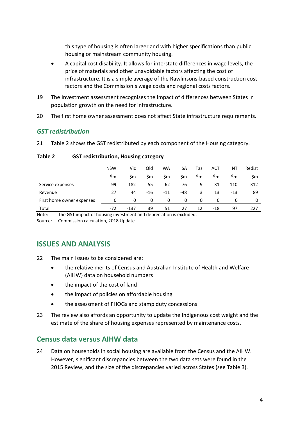this type of housing is often larger and with higher specifications than public housing or mainstream community housing.

- A capital cost disability. It allows for interstate differences in wage levels, the price of materials and other unavoidable factors affecting the cost of infrastructure. It is a simple average of the Rawlinsons-based construction cost factors and the Commission's wage costs and regional costs factors.
- 19 The Investment assessment recognises the impact of differences between States in population growth on the need for infrastructure.
- 20 The first home owner assessment does not affect State infrastructure requirements.

#### *GST redistribution*

21 [Table 2](#page-6-2) shows the GST redistributed by each component of the Housing category.

|                           | <b>NSW</b> | Vic    | Qld   | WA    | SA  | Tas | ACT   | ΝT        | Redist |
|---------------------------|------------|--------|-------|-------|-----|-----|-------|-----------|--------|
|                           | Sm         | Sm.    | \$m   | \$m   | \$m | \$m | Sm    | <b>Sm</b> | \$m    |
| Service expenses          | -99        | $-182$ | 55    | 62    | 76  | 9   | -31   | 110       | 312    |
| Revenue                   | 27         | 44     | $-16$ | $-11$ | -48 | 3   | 13    | -13       | 89     |
| First home owner expenses | 0          | 0      | 0     | 0     | 0   | 0   | 0     | 0         | 0      |
| Total                     | $-72$      | $-137$ | 39    | 51    | 27  | 12  | $-18$ | 97        | 227    |

#### <span id="page-6-2"></span>**Table 2 GST redistribution, Housing category**

Note: The GST impact of housing investment and depreciation is excluded.

<span id="page-6-0"></span>Source: Commission calculation, 2018 Update.

### **ISSUES AND ANALYSIS**

- 22 The main issues to be considered are:
	- the relative merits of Census and Australian Institute of Health and Welfare (AIHW) data on household numbers
	- the impact of the cost of land
	- the impact of policies on affordable housing
	- the assessment of FHOGs and stamp duty concessions.
- 23 The review also affords an opportunity to update the Indigenous cost weight and the estimate of the share of housing expenses represented by maintenance costs.

### <span id="page-6-1"></span>**Census data versus AIHW data**

24 Data on households in social housing are available from the Census and the AIHW. However, significant discrepancies between the two data sets were found in the 2015 Review, and the size of the discrepancies varied across States (see [Table 3\)](#page-7-0).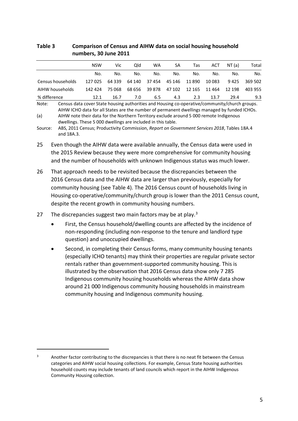#### <span id="page-7-0"></span>**Table 3 Comparison of Census and AIHW data on social housing household numbers, 30 June 2011**

|                   | <b>NSW</b> | Vic      | Old    | <b>WA</b> | SA     | Tas    | ACT     | NT (a) | Total   |
|-------------------|------------|----------|--------|-----------|--------|--------|---------|--------|---------|
|                   | No.        | No.      | No.    | No.       | No.    | No.    | No.     | No.    | No.     |
| Census households | 127 025    | 64 3 3 9 | 64 140 | 37 454    | 45 146 | 11 890 | 10 0 83 | 9425   | 369 502 |
| AIHW households   | 142 424    | 75 068   | 68 656 | 39 878    | 47 102 | 12 165 | 11 464  | 12 198 | 403 955 |
| % difference      | 12.1       | 16.7     | 7.0    | 6.5       | 4.3    | 2.3    | 13.7    | 29.4   | 9.3     |

Note: Census data cover State housing authorities and Housing co-operative/community/church groups. AIHW ICHO data for all States are the number of permanent dwellings managed by funded ICHOs. (a) AIHW note their data for the Northern Territory exclude around 5 000 remote Indigenous

dwellings. These 5 000 dwellings are included in this table.

Source: ABS, 2011 Census; Productivity Commission, *Report on Government Services 2018*, Tables 18A.4 and 18A.3.

- 25 Even though the AIHW data were available annually, the Census data were used in the 2015 Review because they were more comprehensive for community housing and the number of households with unknown Indigenous status was much lower.
- 26 That approach needs to be revisited because the discrepancies between the 2016 Census data and the AIHW data are larger than previously, especially for community housing (see [Table 4\)](#page-8-0). The 2016 Census count of households living in Housing co-operative/community/church group is lower than the 2011 Census count, despite the recent growth in community housing numbers.
- 27 The discrepancies suggest two main factors may be at play. $3$ 
	- First, the Census household/dwelling counts are affected by the incidence of non-responding (including non-response to the tenure and landlord type question) and unoccupied dwellings.
	- Second, in completing their Census forms, many community housing tenants (especially ICHO tenants) may think their properties are regular private sector rentals rather than government-supported community housing. This is illustrated by the observation that 2016 Census data show only 7 285 Indigenous community housing households whereas the AIHW data show around 21 000 Indigenous community housing households in mainstream community housing and Indigenous community housing.

<span id="page-7-1"></span><sup>&</sup>lt;sup>3</sup> Another factor contributing to the discrepancies is that there is no neat fit between the Census categories and AIHW social housing collections. For example, Census State housing authorities household counts may include tenants of land councils which report in the AIHW Indigenous Community Housing collection.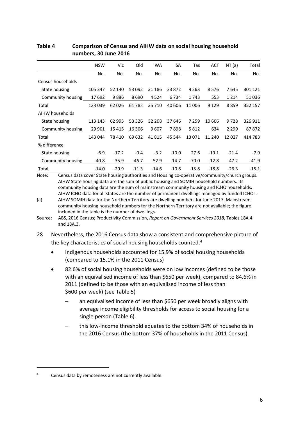|                   | <b>NSW</b> | Vic     | Qld     | <b>WA</b> | SA      | Tas     | <b>ACT</b> | NT(a)   | Total   |
|-------------------|------------|---------|---------|-----------|---------|---------|------------|---------|---------|
|                   | No.        | No.     | No.     | No.       | No.     | No.     | No.        | No.     | No.     |
| Census households |            |         |         |           |         |         |            |         |         |
| State housing     | 105 347    | 52 140  | 53 092  | 31 186    | 33 872  | 9 2 6 3 | 8576       | 7645    | 301 121 |
| Community housing | 17692      | 9886    | 8690    | 4524      | 6734    | 1743    | 553        | 1 2 1 4 | 51036   |
| Total             | 123 039    | 62026   | 61782   | 35 710    | 40 60 6 | 11 006  | 9 1 2 9    | 8859    | 352 157 |
| AIHW households   |            |         |         |           |         |         |            |         |         |
| State housing     | 113 143    | 62 995  | 53 3 26 | 32 208    | 37 646  | 7 2 5 9 | 10 606     | 9728    | 326 911 |
| Community housing | 29 901     | 15415   | 16 30 6 | 9607      | 7898    | 5812    | 634        | 2 2 9 9 | 87872   |
| Total             | 143 044    | 78 410  | 69 632  | 41815     | 45 544  | 13 0 71 | 11 240     | 12027   | 414 783 |
| % difference      |            |         |         |           |         |         |            |         |         |
| State housing     | $-6.9$     | $-17.2$ | $-0.4$  | $-3.2$    | $-10.0$ | 27.6    | $-19.1$    | $-21.4$ | $-7.9$  |
| Community housing | $-40.8$    | $-35.9$ | $-46.7$ | $-52.9$   | $-14.7$ | $-70.0$ | $-12.8$    | $-47.2$ | $-41.9$ |
| Total             | $-14.0$    | $-20.9$ | $-11.3$ | $-14.6$   | $-10.8$ | $-15.8$ | $-18.8$    | $-26.3$ | $-15.1$ |

#### <span id="page-8-0"></span>**Table 4 Comparison of Census and AIHW data on social housing household numbers, 30 June 2016**

Note: Census data cover State housing authorities and Housing co-operative/community/church groups. AIHW State housing data are the sum of public housing and SOMIH household numbers. Its community housing data are the sum of mainstream community housing and ICHO households. AIHW ICHO data for all States are the number of permanent dwellings managed by funded ICHOs.

(a) AIHW SOMIH data for the Northern Territory are dwelling numbers for June 2017. Mainstream community housing household numbers for the Northern Territory are not available; the figure included in the table is the number of dwellings.

Source: ABS, 2016 Census; Productivity Commission, *Report on Government Services 2018*, Tables 18A.4 and 18A.3.

28 Nevertheless, the 2016 Census data show a consistent and comprehensive picture of the key characteristics of social housing households counted.<sup>[4](#page-8-1)</sup>

- Indigenous households accounted for 15.9% of social housing households (compared to 15.1% in the 2011 Census)
- 82.6% of social housing households were on low incomes (defined to be those with an equivalised income of less than \$650 per week), compared to 84.6% in 2011 (defined to be those with an equivalised income of less than \$600 per week) (see [Table 5\)](#page-9-0)
	- an equivalised income of less than \$650 per week broadly aligns with average income eligibility thresholds for access to social housing for a single person [\(Table 6\)](#page-9-1).
	- this low-income threshold equates to the bottom 34% of households in the 2016 Census (the bottom 37% of households in the 2011 Census).

<span id="page-8-1"></span><sup>4</sup> Census data by remoteness are not currently available.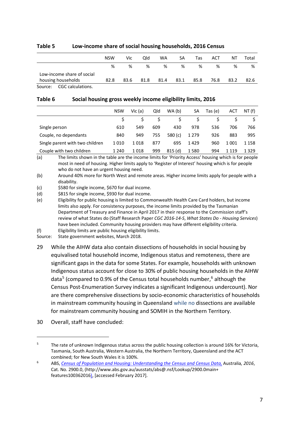|                              | <b>NSW</b> | Vic  | Qld  | <b>WA</b> | SA   | Tas  | ACT  | Νl   | Total |
|------------------------------|------------|------|------|-----------|------|------|------|------|-------|
|                              | %          | %    | %    | %         | %    | %    | %    | %    | %     |
| Low-income share of social   |            |      |      |           |      |      |      |      |       |
| housing households           | 82.8       | 83.6 | 81.8 | 81.4      | 83.1 | 85.8 | 76.8 | 83.2 | 82.6  |
| CGC calculations.<br>Source: |            |      |      |           |      |      |      |      |       |

#### <span id="page-9-0"></span>**Table 5 Low-income share of social housing households, 2016 Census**

#### <span id="page-9-1"></span>**Table 6 Social housing gross weekly income eligibility limits, 2016**

|                                 | <b>NSW</b> | Vic (a) | Qld | WA(b)     | SА      | Tas (e) | ACT     | NT (f)  |
|---------------------------------|------------|---------|-----|-----------|---------|---------|---------|---------|
|                                 |            |         |     |           |         |         |         |         |
| Single person                   | 610        | 549     | 609 | 430       | 978     | 536     | 706     | 766     |
| Couple, no dependants           | 840        | 949     | 755 | 580 $(c)$ | 1 2 7 9 | 926     | 883     | 995     |
| Single parent with two children | 1010       | 1018    | 877 | 695       | 1429    | 960     | 1 001   | 1 1 5 8 |
| Couple with two children        | 1 2 4 0    | 1018    | 999 | 815(d)    | 1580    | 994     | 1 1 1 9 | 1329    |

(a) The limits shown in the table are the income limits for 'Priority Access' housing which is for people most in need of housing. Higher limits apply to 'Register of Interest' housing which is for people who do not have an urgent housing need.

(b) Around 40% more for North West and remote areas. Higher income limits apply for people with a disability.

(c) \$580 for single income, \$670 for dual income.

(d) \$815 for single income, \$930 for dual income.

(e) Eligibility for public housing is limited to Commonwealth Health Care Card holders, but income limits also apply. For consistency purposes, the income limits provided by the Tasmanian Department of Treasury and Finance in April 2017 in their response to the Commission staff's review of what States do (Staff Research Paper *CGC 2016-14-S*, *What States Do - Housing Services*) have been included. Community housing providers may have different eligibility criteria.

(f) Eligibility limits are public housing eligibility limits.

Source: State government websites, March 2018.

- 29 While the AIHW data also contain dissections of households in social housing by equivalised total household income, Indigenous status and remoteness, there are significant gaps in the data for some States. For example, households with unknown Indigenous status account for close to 30% of public housing households in the AIHW data<sup>[5](#page-9-2)</sup> (compared to 0.9% of the Census total households number,<sup>[6](#page-9-3)</sup> although the Census Post-Enumeration Survey indicates a significant Indigenous undercount). Nor are there comprehensive dissections by socio-economic characteristics of households in mainstream community housing in Queensland while no dissections are available for mainstream community housing and SOMIH in the Northern Territory.
- 30 Overall, staff have concluded:

<span id="page-9-2"></span><sup>&</sup>lt;sup>5</sup> The rate of unknown Indigenous status across the public housing collection is around 16% for Victoria, Tasmania, South Australia, Western Australia, the Northern Territory, Queensland and the ACT combined; for New South Wales it is 100%.

<span id="page-9-3"></span><sup>6</sup> ABS, *[Census of Population and Housing: Understanding the Census and Census Data,](http://www.abs.gov.au/ausstats/abs@.nsf/Lookup/2900.0main+features100362016)* Australia*, 2016*, Cat. No. 2900.0, (http://www.abs.gov.au/ausstats/abs@.nsf/Lookup/2900.0main+ features100362016), [accessed February 2017].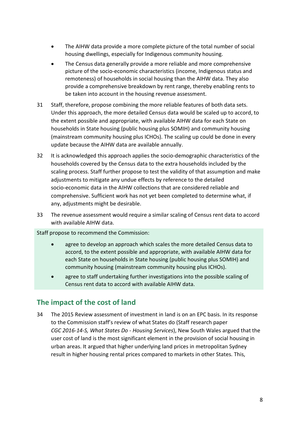- The AIHW data provide a more complete picture of the total number of social housing dwellings, especially for Indigenous community housing.
- The Census data generally provide a more reliable and more comprehensive picture of the socio-economic characteristics (income, Indigenous status and remoteness) of households in social housing than the AIHW data. They also provide a comprehensive breakdown by rent range, thereby enabling rents to be taken into account in the housing revenue assessment.
- 31 Staff, therefore, propose combining the more reliable features of both data sets. Under this approach, the more detailed Census data would be scaled up to accord, to the extent possible and appropriate, with available AIHW data for each State on households in State housing (public housing plus SOMIH) and community housing (mainstream community housing plus ICHOs). The scaling up could be done in every update because the AIHW data are available annually.
- 32 It is acknowledged this approach applies the socio-demographic characteristics of the households covered by the Census data to the extra households included by the scaling process. Staff further propose to test the validity of that assumption and make adjustments to mitigate any undue effects by reference to the detailed socio-economic data in the AIHW collections that are considered reliable and comprehensive. Sufficient work has not yet been completed to determine what, if any, adjustments might be desirable.
- 33 The revenue assessment would require a similar scaling of Census rent data to accord with available AIHW data.

Staff propose to recommend the Commission:

- agree to develop an approach which scales the more detailed Census data to accord, to the extent possible and appropriate, with available AIHW data for each State on households in State housing (public housing plus SOMIH) and community housing (mainstream community housing plus ICHOs).
- agree to staff undertaking further investigations into the possible scaling of Census rent data to accord with available AIHW data.

## <span id="page-10-0"></span>**The impact of the cost of land**

34 The 2015 Review assessment of investment in land is on an EPC basis. In its response to the Commission staff's review of what States do (Staff research paper *CGC 2016-14-S, What States Do - Housing Services*), New South Wales argued that the user cost of land is the most significant element in the provision of social housing in urban areas. It argued that higher underlying land prices in metropolitan Sydney result in higher housing rental prices compared to markets in other States. This,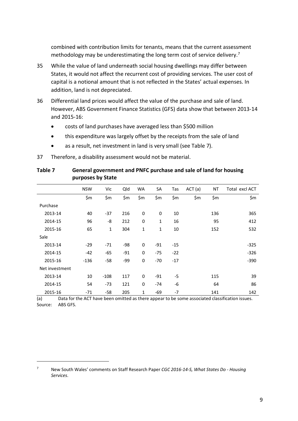combined with contribution limits for tenants, means that the current assessment methodology may be underestimating the long term cost of service delivery.<sup>7</sup>

- 35 While the value of land underneath social housing dwellings may differ between States, it would not affect the recurrent cost of providing services. The user cost of capital is a notional amount that is not reflected in the States' actual expenses. In addition, land is not depreciated.
- 36 Differential land prices would affect the value of the purchase and sale of land. However, ABS Government Finance Statistics (GFS) data show that between 2013-14 and 2015-16:
	- costs of land purchases have averaged less than \$500 million
	- this expenditure was largely offset by the receipts from the sale of land
	- as a result, net investment in land is very small (see [Table 7\)](#page-11-0).

37 Therefore, a disability assessment would not be material.

|                | <b>NSW</b> | Vic          | Qld   | WA          | SA    | Tas   | ACT(a) | ΝT  | Total excl ACT |
|----------------|------------|--------------|-------|-------------|-------|-------|--------|-----|----------------|
|                | \$m        | \$m          | \$m\$ | \$m\$       | \$m   | \$m   | \$m\$  | \$m | \$m            |
| Purchase       |            |              |       |             |       |       |        |     |                |
| 2013-14        | 40         | $-37$        | 216   | 0           | 0     | 10    |        | 136 | 365            |
| 2014-15        | 96         | -8           | 212   | $\mathbf 0$ | 1     | 16    |        | 95  | 412            |
| 2015-16        | 65         | $\mathbf{1}$ | 304   | 1           | 1     | 10    |        | 152 | 532            |
| Sale           |            |              |       |             |       |       |        |     |                |
| 2013-14        | $-29$      | $-71$        | -98   | $\mathbf 0$ | $-91$ | $-15$ |        |     | $-325$         |
| 2014-15        | -42        | -65          | $-91$ | $\mathbf 0$ | $-75$ | $-22$ |        |     | $-326$         |
| 2015-16        | $-136$     | $-58$        | -99   | $\mathbf 0$ | $-70$ | $-17$ |        |     | $-390$         |
| Net investment |            |              |       |             |       |       |        |     |                |
| 2013-14        | 10         | $-108$       | 117   | 0           | $-91$ | $-5$  |        | 115 | 39             |
| 2014-15        | 54         | $-73$        | 121   | $\mathbf 0$ | $-74$ | -6    |        | 64  | 86             |
| 2015-16        | $-71$      | -58          | 205   | 1           | -69   | $-7$  |        | 141 | 142            |

#### <span id="page-11-0"></span>**Table 7 General government and PNFC purchase and sale of land for housing purposes by State**

(a) Data for the ACT have been omitted as there appear to be some associated classification issues. Source: ABS GFS.

<span id="page-11-1"></span><sup>7</sup> New South Wales' comments on Staff Research Paper *CGC 2016-14-S, What States Do - Housing Services*.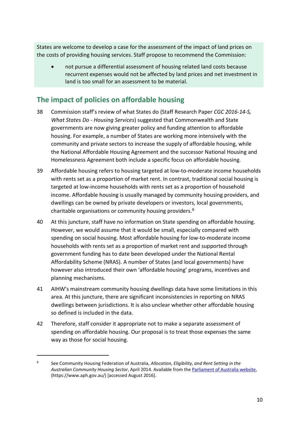States are welcome to develop a case for the assessment of the impact of land prices on the costs of providing housing services. Staff propose to recommend the Commission:

• not pursue a differential assessment of housing related land costs because recurrent expenses would not be affected by land prices and net investment in land is too small for an assessment to be material.

# <span id="page-12-0"></span>**The impact of policies on affordable housing**

- 38 Commission staff's review of what States do (Staff Research Paper *CGC 2016-14-S, What States Do - Housing Services*) suggested that Commonwealth and State governments are now giving greater policy and funding attention to affordable housing. For example, a number of States are working more intensively with the community and private sectors to increase the supply of affordable housing, while the National Affordable Housing Agreement and the successor National Housing and Homelessness Agreement both include a specific focus on affordable housing.
- 39 Affordable housing refers to housing targeted at low-to-moderate income households with rents set as a proportion of market rent. In contrast, traditional social housing is targeted at low-income households with rents set as a proportion of household income. Affordable housing is usually managed by community housing providers, and dwellings can be owned by private developers or investors, local governments, charitable organisations or community housing providers.<sup>[8](#page-12-1)</sup>
- 40 At this juncture, staff have no information on State spending on affordable housing. However, we would assume that it would be small, especially compared with spending on social housing. Most affordable housing for low-to-moderate income households with rents set as a proportion of market rent and supported through government funding has to date been developed under the National Rental Affordability Scheme (NRAS). A number of States (and local governments) have however also introduced their own 'affordable housing' programs, incentives and planning mechanisms.
- 41 AIHW's mainstream community housing dwellings data have some limitations in this area. At this juncture, there are significant inconsistencies in reporting on NRAS dwellings between jurisdictions. It is also unclear whether other affordable housing so defined is included in the data.
- 42 Therefore, staff consider it appropriate not to make a separate assessment of spending on affordable housing. Our proposal is to treat those expenses the same way as those for social housing.

<span id="page-12-1"></span><sup>8</sup> See Community Housing Federation of Australia, *Allocation, Eligibility, and Rent Setting in the Australian Community Housing Sector*, April 2014. Available from th[e Parliament of Australia website,](https://www.aph.gov.au/) (https://www.aph.gov.au/) [accessed August 2016].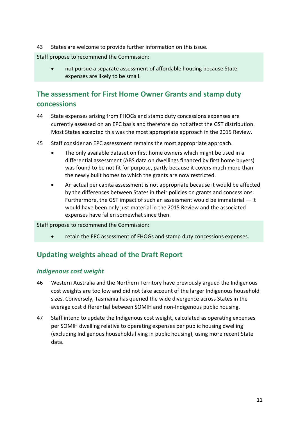43 States are welcome to provide further information on this issue.

Staff propose to recommend the Commission:

• not pursue a separate assessment of affordable housing because State expenses are likely to be small.

# <span id="page-13-0"></span>**The assessment for First Home Owner Grants and stamp duty concessions**

- 44 State expenses arising from FHOGs and stamp duty concessions expenses are currently assessed on an EPC basis and therefore do not affect the GST distribution. Most States accepted this was the most appropriate approach in the 2015 Review.
- 45 Staff consider an EPC assessment remains the most appropriate approach.
	- The only available dataset on first home owners which might be used in a differential assessment (ABS data on dwellings financed by first home buyers) was found to be not fit for purpose, partly because it covers much more than the newly built homes to which the grants are now restricted.
	- An actual per capita assessment is not appropriate because it would be affected by the differences between States in their policies on grants and concessions. Furthermore, the GST impact of such an assessment would be immaterial — it would have been only just material in the 2015 Review and the associated expenses have fallen somewhat since then.

Staff propose to recommend the Commission:

• retain the EPC assessment of FHOGs and stamp duty concessions expenses.

# <span id="page-13-1"></span>**Updating weights ahead of the Draft Report**

#### *Indigenous cost weight*

- 46 Western Australia and the Northern Territory have previously argued the Indigenous cost weights are too low and did not take account of the larger Indigenous household sizes. Conversely, Tasmania has queried the wide divergence across States in the average cost differential between SOMIH and non-Indigenous public housing.
- 47 Staff intend to update the Indigenous cost weight, calculated as operating expenses per SOMIH dwelling relative to operating expenses per public housing dwelling (excluding Indigenous households living in public housing), using more recent State data.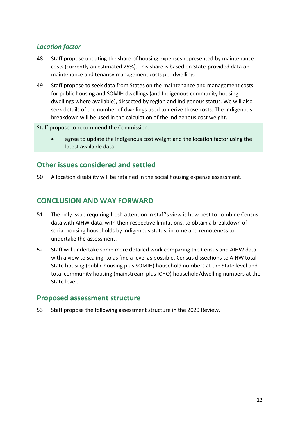### *Location factor*

- 48 Staff propose updating the share of housing expenses represented by maintenance costs (currently an estimated 25%). This share is based on State-provided data on maintenance and tenancy management costs per dwelling.
- 49 Staff propose to seek data from States on the maintenance and management costs for public housing and SOMIH dwellings (and Indigenous community housing dwellings where available), dissected by region and Indigenous status. We will also seek details of the number of dwellings used to derive those costs. The Indigenous breakdown will be used in the calculation of the Indigenous cost weight.

Staff propose to recommend the Commission:

• agree to update the Indigenous cost weight and the location factor using the latest available data.

# <span id="page-14-0"></span>**Other issues considered and settled**

<span id="page-14-1"></span>50 A location disability will be retained in the social housing expense assessment.

## **CONCLUSION AND WAY FORWARD**

- 51 The only issue requiring fresh attention in staff's view is how best to combine Census data with AIHW data, with their respective limitations, to obtain a breakdown of social housing households by Indigenous status, income and remoteness to undertake the assessment.
- 52 Staff will undertake some more detailed work comparing the Census and AIHW data with a view to scaling, to as fine a level as possible, Census dissections to AIHW total State housing (public housing plus SOMIH) household numbers at the State level and total community housing (mainstream plus ICHO) household/dwelling numbers at the State level.

### <span id="page-14-2"></span>**Proposed assessment structure**

53 Staff propose the following assessment structure in the 2020 Review.